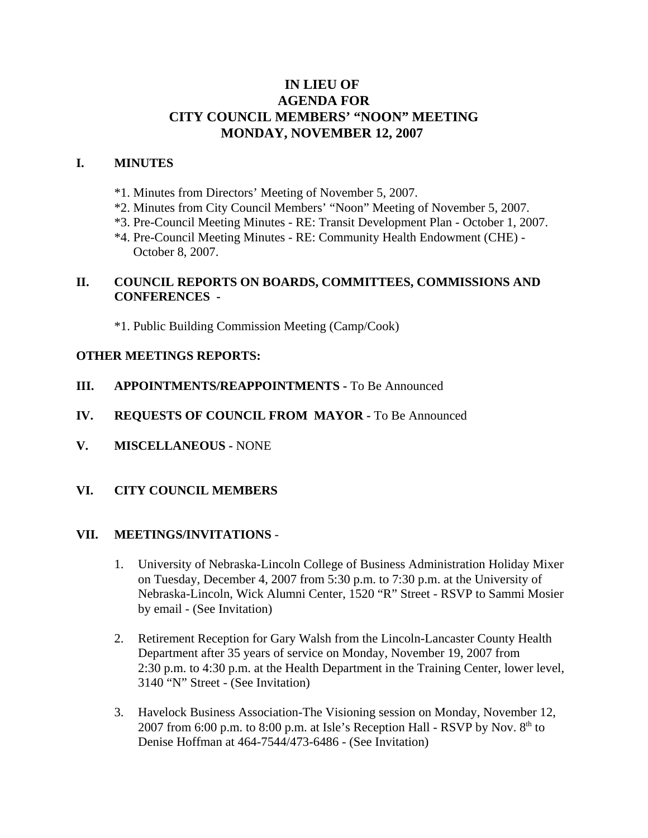# **IN LIEU OF AGENDA FOR CITY COUNCIL MEMBERS' "NOON" MEETING MONDAY, NOVEMBER 12, 2007**

### **I. MINUTES**

- \*1. Minutes from Directors' Meeting of November 5, 2007.
- \*2. Minutes from City Council Members' "Noon" Meeting of November 5, 2007.
- \*3. Pre-Council Meeting Minutes RE: Transit Development Plan October 1, 2007.
- \*4. Pre-Council Meeting Minutes RE: Community Health Endowment (CHE) October 8, 2007.

# **II. COUNCIL REPORTS ON BOARDS, COMMITTEES, COMMISSIONS AND CONFERENCES -**

\*1. Public Building Commission Meeting (Camp/Cook)

#### **OTHER MEETINGS REPORTS:**

- **III.** APPOINTMENTS/REAPPOINTMENTS To Be Announced
- **IV. REQUESTS OF COUNCIL FROM MAYOR -** To Be Announced
- **V. MISCELLANEOUS -** NONE
- **VI. CITY COUNCIL MEMBERS**

#### **VII. MEETINGS/INVITATIONS** -

- 1. University of Nebraska-Lincoln College of Business Administration Holiday Mixer on Tuesday, December 4, 2007 from 5:30 p.m. to 7:30 p.m. at the University of Nebraska-Lincoln, Wick Alumni Center, 1520 "R" Street - RSVP to Sammi Mosier by email - (See Invitation)
- 2. Retirement Reception for Gary Walsh from the Lincoln-Lancaster County Health Department after 35 years of service on Monday, November 19, 2007 from 2:30 p.m. to 4:30 p.m. at the Health Department in the Training Center, lower level, 3140 "N" Street - (See Invitation)
- 3. Havelock Business Association-The Visioning session on Monday, November 12, 2007 from 6:00 p.m. to 8:00 p.m. at Isle's Reception Hall - RSVP by Nov.  $8<sup>th</sup>$  to Denise Hoffman at 464-7544/473-6486 - (See Invitation)